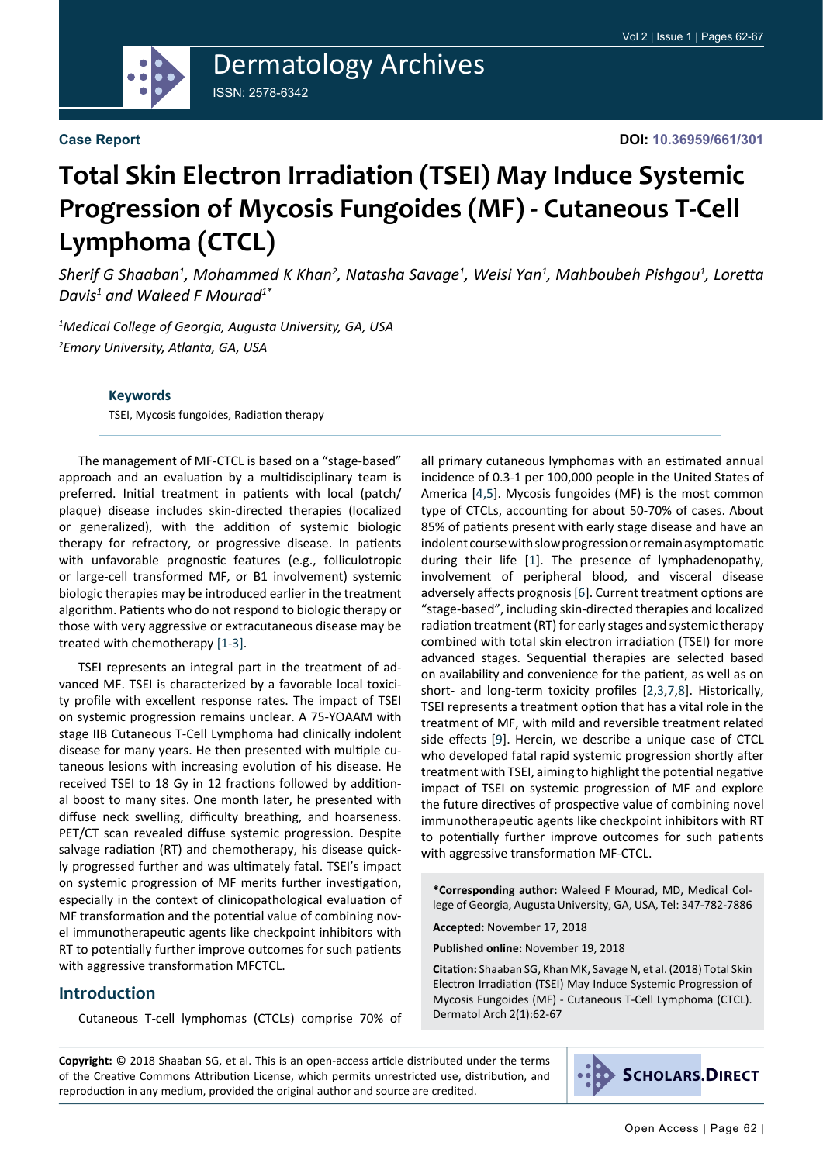

#### **Case Report**

# **Total Skin Electron Irradiation (TSEI) May Induce Systemic Progression of Mycosis Fungoides (MF) - Cutaneous T-Cell Lymphoma (CTCL)**

*Sherif G Shaaban1 , Mohammed K Khan2 , Natasha Savage1 , Weisi Yan1 , Mahboubeh Pishgou1 , Loretta Davis1 and Waleed F Mourad1\**

*1 Medical College of Georgia, Augusta University, GA, USA 2 Emory University, Atlanta, GA, USA*

#### **Keywords**

TSEI, Mycosis fungoides, Radiation therapy

The management of MF-CTCL is based on a "stage-based" approach and an evaluation by a multidisciplinary team is preferred. Initial treatment in patients with local (patch/ plaque) disease includes skin-directed therapies (localized or generalized), with the addition of systemic biologic therapy for refractory, or progressive disease. In patients with unfavorable prognostic features (e.g., folliculotropic or large-cell transformed MF, or B1 involvement) systemic biologic therapies may be introduced earlier in the treatment algorithm. Patients who do not respond to biologic therapy or those with very aggressive or extracutaneous disease may be treated with chemotherapy [\[1](#page-4-0)[-3](#page-4-1)[\]](#page-4-0).

TSEI represents an integral part in the treatment of advanced MF. TSEI is characterized by a favorable local toxicity profile with excellent response rates. The impact of TSEI on systemic progression remains unclear. A 75-YOAAM with stage IIB Cutaneous T-Cell Lymphoma had clinically indolent disease for many years. He then presented with multiple cutaneous lesions with increasing evolution of his disease. He received TSEI to 18 Gy in 12 fractions followed by additional boost to many sites. One month later, he presented with diffuse neck swelling, difficulty breathing, and hoarseness. PET/CT scan revealed diffuse systemic progression. Despite salvage radiation (RT) and chemotherapy, his disease quickly progressed further and was ultimately fatal. TSEI's impact on systemic progression of MF merits further investigation, especially in the context of clinicopathological evaluation of MF transformation and the potential value of combining novel immunotherapeutic agents like checkpoint inhibitors with RT to potentially further improve outcomes for such patients with aggressive transformation MFCTCL.

#### **Introduction**

Cutaneous T-cell lymphomas (CTCLs) comprise 70% of

all primary cutaneous lymphomas with an estimated annual incidence of 0.3-1 per 100,000 people in the United States of America [\[4](#page-4-2)[,5](#page-4-3)]. Mycosis fungoides (MF) is the most common type of CTCLs, accounting for about 50-70% of cases. About 85% of patients present with early stage disease and have an indolent course with slow progression or remain asymptomatic during their life [[1](#page-4-0)]. The presence of lymphadenopathy, involvement of peripheral blood, and visceral disease adversely affects prognosis [[6](#page-4-4)]. Current treatment options are "stage-based", including skin-directed therapies and localized radiation treatment (RT) for early stages and systemic therapy combined with total skin electron irradiation (TSEI) for more advanced stages. Sequential therapies are selected based on availability and convenience for the patient, as well as on short- and long-term toxicity profiles [[2](#page-4-5),[3,](#page-4-1)[7](#page-4-6),[8](#page-4-7)]. Historically, TSEI represents a treatment option that has a vital role in the treatment of MF, with mild and reversible treatment related side effects [[9](#page-4-8)]. Herein, we describe a unique case of CTCL who developed fatal rapid systemic progression shortly after treatment with TSEI, aiming to highlight the potential negative impact of TSEI on systemic progression of MF and explore the future directives of prospective value of combining novel immunotherapeutic agents like checkpoint inhibitors with RT to potentially further improve outcomes for such patients with aggressive transformation MF-CTCL.

**\*Corresponding author:** Waleed F Mourad, MD, Medical College of Georgia, Augusta University, GA, USA, Tel: 347-782-7886

**Accepted:** November 17, 2018

**Published online:** November 19, 2018

**Citation:** Shaaban SG, Khan MK, Savage N, et al. (2018) Total Skin Electron Irradiation (TSEI) May Induce Systemic Progression of Mycosis Fungoides (MF) - Cutaneous T-Cell Lymphoma (CTCL). Dermatol Arch 2(1):62-67

**Copyright:** © 2018 Shaaban SG, et al. This is an open-access article distributed under the terms of the Creative Commons Attribution License, which permits unrestricted use, distribution, and reproduction in any medium, provided the original author and source are credited.

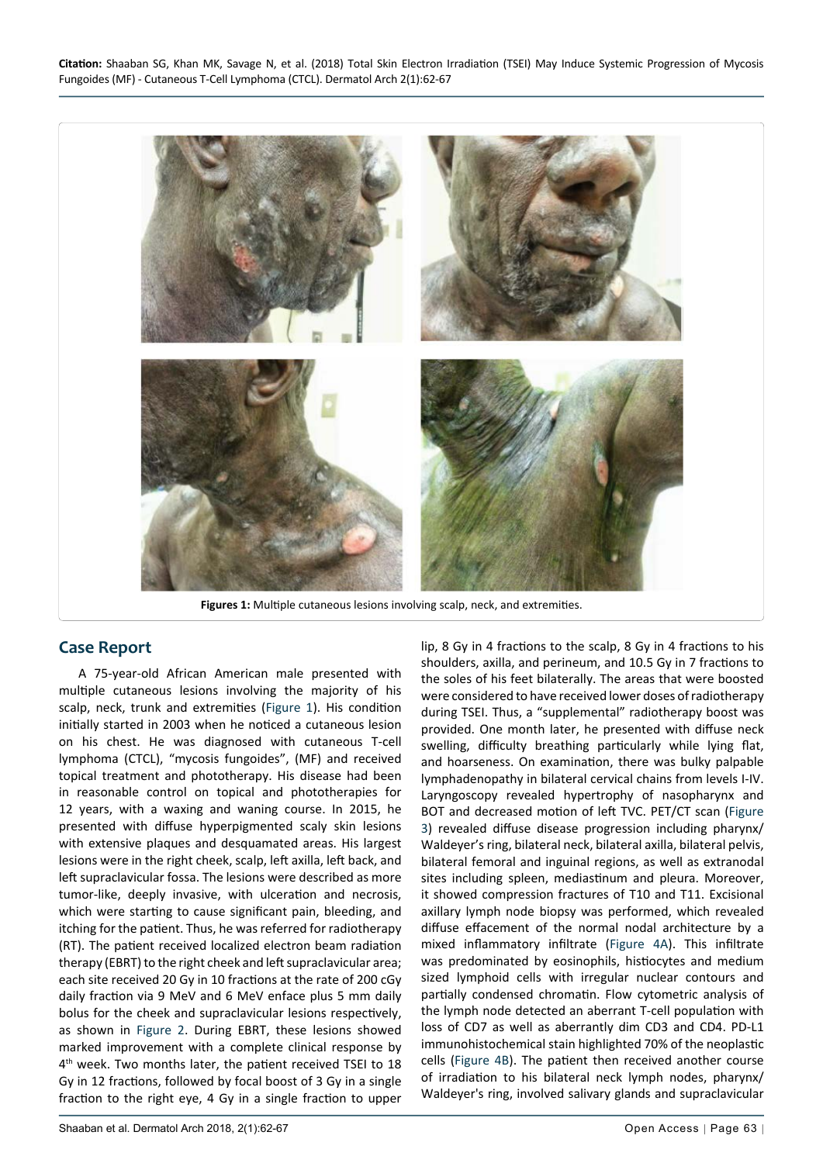<span id="page-1-0"></span>

**Figures 1:** Multiple cutaneous lesions involving scalp, neck, and extremities.

## **Case Report**

A 75-year-old African American male presented with multiple cutaneous lesions involving the majority of his scalp, neck, trunk and extremities [\(Figure 1](#page-1-0)). His condition initially started in 2003 when he noticed a cutaneous lesion on his chest. He was diagnosed with cutaneous T-cell lymphoma (CTCL), "mycosis fungoides", (MF) and received topical treatment and phototherapy. His disease had been in reasonable control on topical and phototherapies for 12 years, with a waxing and waning course. In 2015, he presented with diffuse hyperpigmented scaly skin lesions with extensive plaques and desquamated areas. His largest lesions were in the right cheek, scalp, left axilla, left back, and left supraclavicular fossa. The lesions were described as more tumor-like, deeply invasive, with ulceration and necrosis, which were starting to cause significant pain, bleeding, and itching for the patient. Thus, he was referred for radiotherapy (RT). The patient received localized electron beam radiation therapy (EBRT) to the right cheek and left supraclavicular area; each site received 20 Gy in 10 fractions at the rate of 200 cGy daily fraction via 9 MeV and 6 MeV enface plus 5 mm daily bolus for the cheek and supraclavicular lesions respectively, as shown in [Figure 2.](#page-2-2) During EBRT, these lesions showed marked improvement with a complete clinical response by 4<sup>th</sup> week. Two months later, the patient received TSEI to 18 Gy in 12 fractions, followed by focal boost of 3 Gy in a single fraction to the right eye, 4 Gy in a single fraction to upper

shoulders, axilla, and perineum, and 10.5 Gy in 7 fractions to the soles of his feet bilaterally. The areas that were boosted were considered to have received lower doses of radiotherapy during TSEI. Thus, a "supplemental" radiotherapy boost was provided. One month later, he presented with diffuse neck swelling, difficulty breathing particularly while lying flat, and hoarseness. On examination, there was bulky palpable lymphadenopathy in bilateral cervical chains from levels I-IV. Laryngoscopy revealed hypertrophy of nasopharynx and BOT and decreased motion of left TVC. PET/CT scan [\(Figure](#page-2-0)  [3](#page-2-0)) revealed diffuse disease progression including pharynx/ Waldeyer's ring, bilateral neck, bilateral axilla, bilateral pelvis, bilateral femoral and inguinal regions, as well as extranodal sites including spleen, mediastinum and pleura. Moreover, it showed compression fractures of T10 and T11. Excisional axillary lymph node biopsy was performed, which revealed diffuse effacement of the normal nodal architecture by a mixed inflammatory infiltrate [\(Figure 4A](#page-2-1)). This infiltrate was predominated by eosinophils, histiocytes and medium sized lymphoid cells with irregular nuclear contours and partially condensed chromatin. Flow cytometric analysis of the lymph node detected an aberrant T-cell population with loss of CD7 as well as aberrantly dim CD3 and CD4. PD-L1 immunohistochemical stain highlighted 70% of the neoplastic cells [\(Figure 4B](#page-2-1)). The patient then received another course of irradiation to his bilateral neck lymph nodes, pharynx/ Waldeyer's ring, involved salivary glands and supraclavicular

lip, 8 Gy in 4 fractions to the scalp, 8 Gy in 4 fractions to his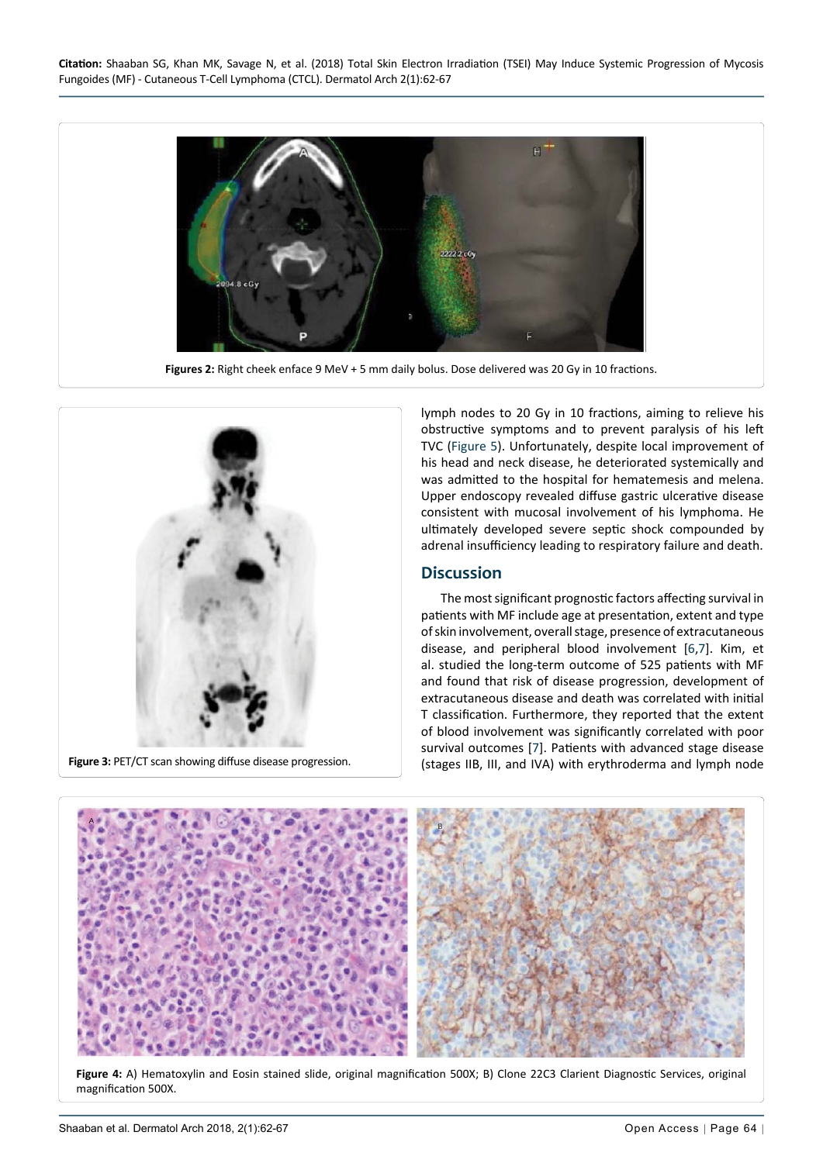

**Figures 2:** Right cheek enface 9 MeV + 5 mm daily bolus. Dose delivered was 20 Gy in 10 fractions.

<span id="page-2-0"></span>

<span id="page-2-2"></span>Ĩ

lymph nodes to 20 Gy in 10 fractions, aiming to relieve his obstructive symptoms and to prevent paralysis of his left TVC ([Figure 5\)](#page-3-0). Unfortunately, despite local improvement of his head and neck disease, he deteriorated systemically and was admitted to the hospital for hematemesis and melena. Upper endoscopy revealed diffuse gastric ulcerative disease consistent with mucosal involvement of his lymphoma. He ultimately developed severe septic shock compounded by adrenal insufficiency leading to respiratory failure and death.

#### **Discussion**

The most significant prognostic factors affecting survival in patients with MF include age at presentation, extent and type of skin involvement, overall stage, presence of extracutaneous disease, and peripheral blood involvement [[6,](#page-4-4)[7](#page-4-6)]. Kim, et al. studied the long-term outcome of 525 patients with MF and found that risk of disease progression, development of extracutaneous disease and death was correlated with initial T classification. Furthermore, they reported that the extent of blood involvement was significantly correlated with poor survival outcomes [\[7](#page-4-6)]. Patients with advanced stage disease (stages IIB, III, and IVA) with erythroderma and lymph node

<span id="page-2-1"></span>

**Figure 4:** A) Hematoxylin and Eosin stained slide, original magnification 500X; B) Clone 22C3 Clarient Diagnostic Services, original magnification 500X.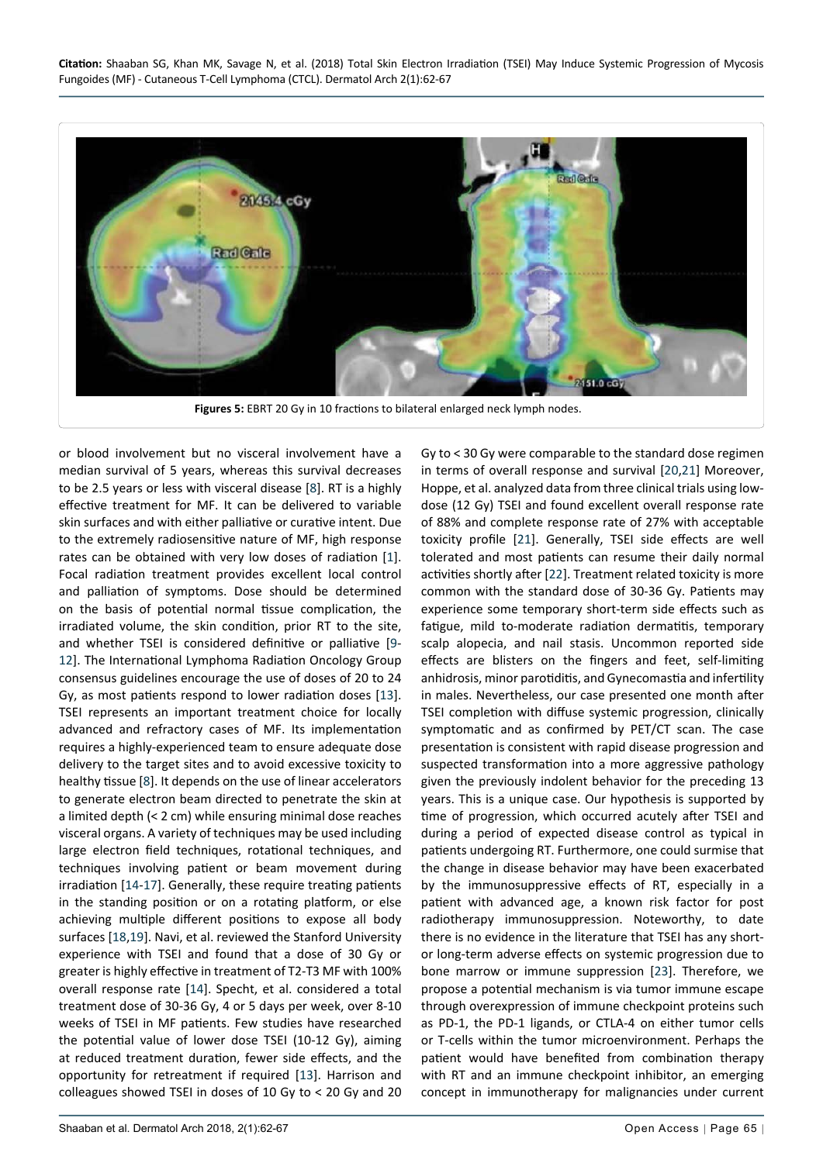**Citation:** Shaaban SG, Khan MK, Savage N, et al. (2018) Total Skin Electron Irradiation (TSEI) May Induce Systemic Progression of Mycosis Fungoides (MF) - Cutaneous T-Cell Lymphoma (CTCL). Dermatol Arch 2(1):62-67

<span id="page-3-0"></span>

or blood involvement but no visceral involvement have a median survival of 5 years, whereas this survival decreases to be 2.5 years or less with visceral disease [[8](#page-4-7)]. RT is a highly effective treatment for MF. It can be delivered to variable skin surfaces and with either palliative or curative intent. Due to the extremely radiosensitive nature of MF, high response rates can be obtained with very low doses of radiation [[1\]](#page-4-0). Focal radiation treatment provides excellent local control and palliation of symptoms. Dose should be determined on the basis of potential normal tissue complication, the irradiated volume, the skin condition, prior RT to the site, and whether TSEI is considered definitive or palliative [[9](#page-4-8)- [12](#page-4-10)]. The International Lymphoma Radiation Oncology Group consensus guidelines encourage the use of doses of 20 to 24 Gy, as most patients respond to lower radiation doses [[13\]](#page-4-11). TSEI represents an important treatment choice for locally advanced and refractory cases of MF. Its implementation requires a highly-experienced team to ensure adequate dose delivery to the target sites and to avoid excessive toxicity to healthy tissue [[8](#page-4-7)]. It depends on the use of linear accelerators to generate electron beam directed to penetrate the skin at a limited depth (< 2 cm) while ensuring minimal dose reaches visceral organs. A variety of techniques may be used including large electron field techniques, rotational techniques, and techniques involving patient or beam movement during irradiation [[14-](#page-4-12)[17\]](#page-4-13). Generally, these require treating patients in the standing position or on a rotating platform, or else achieving multiple different positions to expose all body surfaces [[18](#page-4-14),[19](#page-4-15)]. Navi, et al. reviewed the Stanford University experience with TSEI and found that a dose of 30 Gy or greater is highly effective in treatment of T2-T3 MF with 100% overall response rate [[14](#page-4-12)]. Specht, et al. considered a total treatment dose of 30-36 Gy, 4 or 5 days per week, over 8-10 weeks of TSEI in MF patients. Few studies have researched the potential value of lower dose TSEI (10-12 Gy), aiming at reduced treatment duration, fewer side effects, and the opportunity for retreatment if required [[13](#page-4-11)]. Harrison and colleagues showed TSEI in doses of 10 Gy to < 20 Gy and 20

Gy to < 30 Gy were comparable to the standard dose regimen in terms of overall response and survival [[20](#page-4-9)[,21](#page-5-0)] Moreover, Hoppe, et al. analyzed data from three clinical trials using lowdose (12 Gy) TSEI and found excellent overall response rate of 88% and complete response rate of 27% with acceptable toxicity profile [[21](#page-5-0)]. Generally, TSEI side effects are well tolerated and most patients can resume their daily normal activities shortly after [[22](#page-5-1)]. Treatment related toxicity is more common with the standard dose of 30-36 Gy. Patients may experience some temporary short-term side effects such as fatigue, mild to-moderate radiation dermatitis, temporary scalp alopecia, and nail stasis. Uncommon reported side effects are blisters on the fingers and feet, self-limiting anhidrosis, minor parotiditis, and Gynecomastia and infertility in males. Nevertheless, our case presented one month after TSEI completion with diffuse systemic progression, clinically symptomatic and as confirmed by PET/CT scan. The case presentation is consistent with rapid disease progression and suspected transformation into a more aggressive pathology given the previously indolent behavior for the preceding 13 years. This is a unique case. Our hypothesis is supported by time of progression, which occurred acutely after TSEI and during a period of expected disease control as typical in patients undergoing RT. Furthermore, one could surmise that the change in disease behavior may have been exacerbated by the immunosuppressive effects of RT, especially in a patient with advanced age, a known risk factor for post radiotherapy immunosuppression. Noteworthy, to date there is no evidence in the literature that TSEI has any shortor long-term adverse effects on systemic progression due to bone marrow or immune suppression [[23](#page-5-2)]. Therefore, we propose a potential mechanism is via tumor immune escape through overexpression of immune checkpoint proteins such as PD-1, the PD-1 ligands, or CTLA-4 on either tumor cells or T-cells within the tumor microenvironment. Perhaps the patient would have benefited from combination therapy with RT and an immune checkpoint inhibitor, an emerging concept in immunotherapy for malignancies under current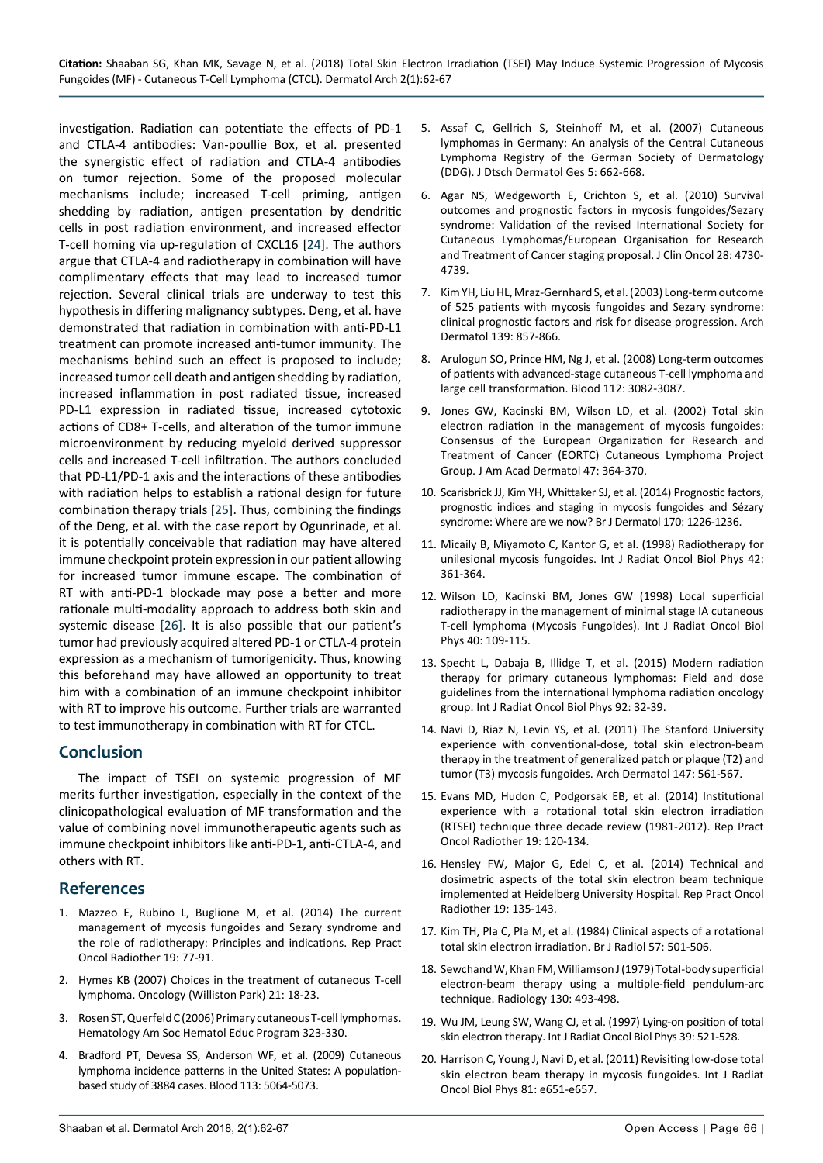investigation. Radiation can potentiate the effects of PD-1 and CTLA-4 antibodies: Van-poullie Box, et al. presented the synergistic effect of radiation and CTLA-4 antibodies on tumor rejection. Some of the proposed molecular mechanisms include; increased T-cell priming, antigen shedding by radiation, antigen presentation by dendritic cells in post radiation environment, and increased effector T-cell homing via up-regulation of CXCL16 [[24](#page-5-3)]. The authors argue that CTLA-4 and radiotherapy in combination will have complimentary effects that may lead to increased tumor rejection. Several clinical trials are underway to test this hypothesis in differing malignancy subtypes. Deng, et al. have demonstrated that radiation in combination with anti-PD-L1 treatment can promote increased anti-tumor immunity. The mechanisms behind such an effect is proposed to include; increased tumor cell death and antigen shedding by radiation, increased inflammation in post radiated tissue, increased PD-L1 expression in radiated tissue, increased cytotoxic actions of CD8+ T-cells, and alteration of the tumor immune microenvironment by reducing myeloid derived suppressor cells and increased T-cell infiltration. The authors concluded that PD-L1/PD-1 axis and the interactions of these antibodies with radiation helps to establish a rational design for future combination therapy trials [[25\]](#page-5-4). Thus, combining the findings of the Deng, et al. with the case report by Ogunrinade, et al. it is potentially conceivable that radiation may have altered immune checkpoint protein expression in our patient allowing for increased tumor immune escape. The combination of RT with anti-PD-1 blockade may pose a better and more rationale multi-modality approach to address both skin and systemic disease [\[26\]](#page-5-5). It is also possible that our patient's tumor had previously acquired altered PD-1 or CTLA-4 protein expression as a mechanism of tumorigenicity. Thus, knowing this beforehand may have allowed an opportunity to treat him with a combination of an immune checkpoint inhibitor with RT to improve his outcome. Further trials are warranted to test immunotherapy in combination with RT for CTCL.

#### **Conclusion**

The impact of TSEI on systemic progression of MF merits further investigation, especially in the context of the clinicopathological evaluation of MF transformation and the value of combining novel immunotherapeutic agents such as immune checkpoint inhibitors like anti-PD-1, anti-CTLA-4, and others with RT.

## **References**

- <span id="page-4-0"></span>1. [Mazzeo E, Rubino L, Buglione M, et al. \(2014\) The current](https://www.ncbi.nlm.nih.gov/pubmed/24936325)  [management of mycosis fungoides and Sezary syndrome and](https://www.ncbi.nlm.nih.gov/pubmed/24936325)  [the role of radiotherapy: Principles and indications. Rep Pract](https://www.ncbi.nlm.nih.gov/pubmed/24936325)  [Oncol Radiother 19: 77-91.](https://www.ncbi.nlm.nih.gov/pubmed/24936325)
- <span id="page-4-5"></span>2. [Hymes KB \(2007\) Choices in the treatment of cutaneous T-cell](https://www.ncbi.nlm.nih.gov/pubmed/17474355)  [lymphoma. Oncology \(Williston Park\) 21: 18-23.](https://www.ncbi.nlm.nih.gov/pubmed/17474355)
- <span id="page-4-1"></span>3. [Rosen ST, Querfeld C \(2006\) Primary cutaneous T-cell lymphomas.](https://www.ncbi.nlm.nih.gov/pubmed/17124079)  [Hematology Am Soc Hematol Educ Program 323-330.](https://www.ncbi.nlm.nih.gov/pubmed/17124079)
- <span id="page-4-2"></span>4. [Bradford PT, Devesa SS, Anderson WF, et al. \(2009\) Cutaneous](https://www.ncbi.nlm.nih.gov/pubmed/19279331)  [lymphoma incidence patterns in the United States: A population](https://www.ncbi.nlm.nih.gov/pubmed/19279331)[based study of 3884 cases. Blood 113: 5064-5073.](https://www.ncbi.nlm.nih.gov/pubmed/19279331)
- <span id="page-4-3"></span>5. [Assaf C, Gellrich S, Steinhoff M, et al. \(2007\) Cutaneous](https://www.ncbi.nlm.nih.gov/pubmed/17659039)  [lymphomas in Germany: An analysis of the Central Cutaneous](https://www.ncbi.nlm.nih.gov/pubmed/17659039)  [Lymphoma Registry of the German Society of Dermatology](https://www.ncbi.nlm.nih.gov/pubmed/17659039)  [\(DDG\). J Dtsch Dermatol Ges 5: 662-668.](https://www.ncbi.nlm.nih.gov/pubmed/17659039)
- <span id="page-4-4"></span>6. [Agar NS, Wedgeworth E, Crichton S, et al. \(2010\) Survival](https://www.ncbi.nlm.nih.gov/pubmed/20855822)  [outcomes and prognostic factors in mycosis fungoides/Sezary](https://www.ncbi.nlm.nih.gov/pubmed/20855822)  [syndrome: Validation of the revised International Society for](https://www.ncbi.nlm.nih.gov/pubmed/20855822)  [Cutaneous Lymphomas/European Organisation for Research](https://www.ncbi.nlm.nih.gov/pubmed/20855822)  [and Treatment of Cancer staging proposal. J Clin Oncol 28: 4730-](https://www.ncbi.nlm.nih.gov/pubmed/20855822) [4739.](https://www.ncbi.nlm.nih.gov/pubmed/20855822)
- <span id="page-4-6"></span>7. [Kim YH, Liu HL, Mraz-Gernhard S, et al. \(2003\) Long-term outcome](https://www.ncbi.nlm.nih.gov/pubmed/12873880)  [of 525 patients with mycosis fungoides and Sezary syndrome:](https://www.ncbi.nlm.nih.gov/pubmed/12873880)  [clinical prognostic factors and risk for disease progression. Arch](https://www.ncbi.nlm.nih.gov/pubmed/12873880)  [Dermatol 139: 857-866.](https://www.ncbi.nlm.nih.gov/pubmed/12873880)
- <span id="page-4-7"></span>8. [Arulogun SO, Prince HM, Ng J, et al. \(2008\) Long-term outcomes](https://www.ncbi.nlm.nih.gov/pubmed/18647960)  [of patients with advanced-stage cutaneous T-cell lymphoma and](https://www.ncbi.nlm.nih.gov/pubmed/18647960)  [large cell transformation. Blood 112: 3082-3087.](https://www.ncbi.nlm.nih.gov/pubmed/18647960)
- <span id="page-4-8"></span>9. [Jones GW, Kacinski BM, Wilson LD, et al. \(2002\) Total skin](https://www.ncbi.nlm.nih.gov/pubmed/12196745)  [electron radiation in the management of mycosis fungoides:](https://www.ncbi.nlm.nih.gov/pubmed/12196745)  [Consensus of the European Organization for Research and](https://www.ncbi.nlm.nih.gov/pubmed/12196745)  [Treatment of Cancer \(EORTC\) Cutaneous Lymphoma Project](https://www.ncbi.nlm.nih.gov/pubmed/12196745)  [Group. J Am Acad Dermatol 47: 364-370.](https://www.ncbi.nlm.nih.gov/pubmed/12196745)
- 10. [Scarisbrick JJ, Kim YH, Whittaker SJ, et al. \(2014\) Prognostic factors,](https://www.ncbi.nlm.nih.gov/pubmed/24641480)  [prognostic indices and staging in mycosis fungoides and Sézary](https://www.ncbi.nlm.nih.gov/pubmed/24641480)  [syndrome: Where are we now? Br J Dermatol 170: 1226-1236.](https://www.ncbi.nlm.nih.gov/pubmed/24641480)
- 11. [Micaily B, Miyamoto C, Kantor G, et al. \(1998\) Radiotherapy for](https://www.ncbi.nlm.nih.gov/pubmed/9788416)  [unilesional mycosis fungoides. Int J Radiat Oncol Biol Phys 42:](https://www.ncbi.nlm.nih.gov/pubmed/9788416)  [361-364.](https://www.ncbi.nlm.nih.gov/pubmed/9788416)
- <span id="page-4-10"></span>12. [Wilson LD, Kacinski BM, Jones GW \(1998\) Local superficial](https://www.ncbi.nlm.nih.gov/pubmed/9422565)  [radiotherapy in the management of minimal stage IA cutaneous](https://www.ncbi.nlm.nih.gov/pubmed/9422565)  [T-cell lymphoma \(Mycosis Fungoides\). Int J Radiat Oncol Biol](https://www.ncbi.nlm.nih.gov/pubmed/9422565)  [Phys 40: 109-115.](https://www.ncbi.nlm.nih.gov/pubmed/9422565)
- <span id="page-4-11"></span>13. [Specht L, Dabaja B, Illidge T, et al. \(2015\) Modern radiation](https://www.ncbi.nlm.nih.gov/pubmed/25863751)  [therapy for primary cutaneous lymphomas: Field and dose](https://www.ncbi.nlm.nih.gov/pubmed/25863751)  [guidelines from the international lymphoma radiation oncology](https://www.ncbi.nlm.nih.gov/pubmed/25863751)  [group. Int J Radiat Oncol Biol Phys 92: 32-39.](https://www.ncbi.nlm.nih.gov/pubmed/25863751)
- <span id="page-4-12"></span>14. [Navi D, Riaz N, Levin YS, et al. \(2011\) The Stanford University](https://www.ncbi.nlm.nih.gov/pubmed/21576575)  [experience with conventional-dose, total skin electron-beam](https://www.ncbi.nlm.nih.gov/pubmed/21576575)  [therapy in the treatment of generalized patch or plaque \(T2\) and](https://www.ncbi.nlm.nih.gov/pubmed/21576575)  [tumor \(T3\) mycosis fungoides. Arch Dermatol 147: 561-567.](https://www.ncbi.nlm.nih.gov/pubmed/21576575)
- 15. [Evans MD, Hudon C, Podgorsak EB, et al. \(2014\) Institutional](https://www.ncbi.nlm.nih.gov/pubmed/24936331)  [experience with a rotational total skin electron irradiation](https://www.ncbi.nlm.nih.gov/pubmed/24936331)  [\(RTSEI\) technique three decade review \(1981-2012\). Rep Pract](https://www.ncbi.nlm.nih.gov/pubmed/24936331)  [Oncol Radiother 19: 120-134.](https://www.ncbi.nlm.nih.gov/pubmed/24936331)
- 16. [Hensley FW, Major G, Edel C, et al. \(2014\) Technical and](https://www.ncbi.nlm.nih.gov/pubmed/24936332)  [dosimetric aspects of the total skin electron beam technique](https://www.ncbi.nlm.nih.gov/pubmed/24936332)  [implemented at Heidelberg University Hospital. Rep Pract Oncol](https://www.ncbi.nlm.nih.gov/pubmed/24936332)  [Radiother 19: 135-143.](https://www.ncbi.nlm.nih.gov/pubmed/24936332)
- <span id="page-4-13"></span>17. [Kim TH, Pla C, Pla M, et al. \(1984\) Clinical aspects of a rotational](https://www.ncbi.nlm.nih.gov/pubmed/6426571)  [total skin electron irradiation. Br J Radiol 57: 501-506.](https://www.ncbi.nlm.nih.gov/pubmed/6426571)
- <span id="page-4-14"></span>18. [Sewchand W, Khan FM, Williamson J \(1979\) Total-body superficial](https://www.ncbi.nlm.nih.gov/pubmed/104363)  [electron-beam therapy using a multiple-field pendulum-arc](https://www.ncbi.nlm.nih.gov/pubmed/104363)  [technique. Radiology 130: 493-498.](https://www.ncbi.nlm.nih.gov/pubmed/104363)
- <span id="page-4-15"></span>19. [Wu JM, Leung SW, Wang CJ, et al. \(1997\) Lying-on position of total](https://www.ncbi.nlm.nih.gov/pubmed/9308958)  [skin electron therapy. Int J Radiat Oncol Biol Phys 39: 521-528.](https://www.ncbi.nlm.nih.gov/pubmed/9308958)
- <span id="page-4-9"></span>20. [Harrison C, Young J, Navi D, et al. \(2011\) Revisiting low-dose total](https://www.ncbi.nlm.nih.gov/pubmed/21489711)  [skin electron beam therapy in mycosis fungoides. Int J Radiat](https://www.ncbi.nlm.nih.gov/pubmed/21489711)  [Oncol Biol Phys 81: e651-e657.](https://www.ncbi.nlm.nih.gov/pubmed/21489711)